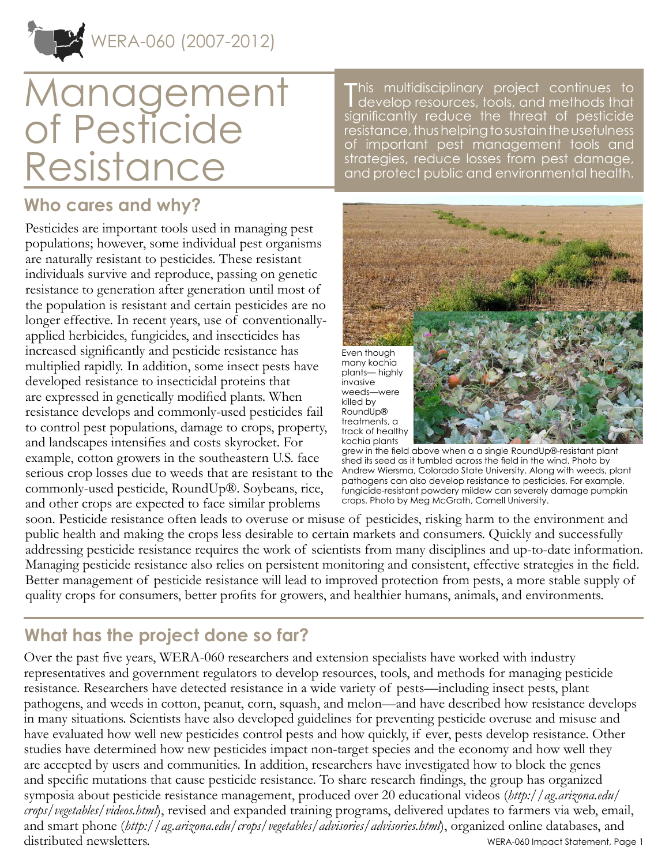# Management of Pesticide Resistance

### **Who cares and why?**

Pesticides are important tools used in managing pest populations; however, some individual pest organisms are naturally resistant to pesticides. These resistant individuals survive and reproduce, passing on genetic resistance to generation after generation until most of the population is resistant and certain pesticides are no longer effective. In recent years, use of conventionallyapplied herbicides, fungicides, and insecticides has increased significantly and pesticide resistance has multiplied rapidly. In addition, some insect pests have developed resistance to insecticidal proteins that are expressed in genetically modified plants. When resistance develops and commonly-used pesticides fail to control pest populations, damage to crops, property, and landscapes intensifies and costs skyrocket. For example, cotton growers in the southeastern U.S. face serious crop losses due to weeds that are resistant to the commonly-used pesticide, RoundUp®. Soybeans, rice, and other crops are expected to face similar problems

This multidisciplinary project continues to<br>develop resources, tools, and methods that develop resources, tools, and methods that significantly reduce the threat of pesticide resistance, thus helping to sustain the usefulness of important pest management tools and strategies, reduce losses from pest damage, and protect public and environmental health.



grew in the field above when a a single RoundUp®-resistant plant shed its seed as it tumbled across the field in the wind. Photo by Andrew Wiersma, Colorado State University. Along with weeds, plant pathogens can also develop resistance to pesticides. For example, fungicide-resistant powdery mildew can severely damage pumpkin crops. Photo by Meg McGrath, Cornell University.

soon. Pesticide resistance often leads to overuse or misuse of pesticides, risking harm to the environment and public health and making the crops less desirable to certain markets and consumers. Quickly and successfully addressing pesticide resistance requires the work of scientists from many disciplines and up-to-date information. Managing pesticide resistance also relies on persistent monitoring and consistent, effective strategies in the field. Better management of pesticide resistance will lead to improved protection from pests, a more stable supply of quality crops for consumers, better profits for growers, and healthier humans, animals, and environments.

## **What has the project done so far?**

Over the past five years, WERA-060 researchers and extension specialists have worked with industry representatives and government regulators to develop resources, tools, and methods for managing pesticide resistance. Researchers have detected resistance in a wide variety of pests—including insect pests, plant pathogens, and weeds in cotton, peanut, corn, squash, and melon—and have described how resistance develops in many situations. Scientists have also developed guidelines for preventing pesticide overuse and misuse and have evaluated how well new pesticides control pests and how quickly, if ever, pests develop resistance. Other studies have determined how new pesticides impact non-target species and the economy and how well they are accepted by users and communities. In addition, researchers have investigated how to block the genes and specific mutations that cause pesticide resistance. To share research findings, the group has organized symposia about pesticide resistance management, produced over 20 educational videos (*[http://ag.arizona.edu/](http://ag.arizona.edu/crops/vegetables/videos.html) [crops/vegetables/videos.html](http://ag.arizona.edu/crops/vegetables/videos.html)*), revised and expanded training programs, delivered updates to farmers via web, email, and smart phone (*<http://ag.arizona.edu/crops/vegetables/advisories/advisories.html>*), organized online databases, and distributed newsletters. WERA-060 Impact Statement, Page 1